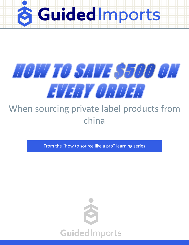



#### When sourcing private label products from china

From the "how to source like a pro" learning series

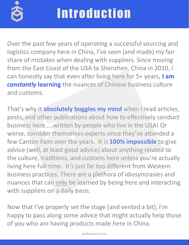

Over the past few years of operating a successful sourcing and logistics company here in China, I've seen (and made) my fair share of mistakes when dealing with suppliers. Since moving from the East Coast of the USA to Shenzhen, China in 2010, I can honestly say that even after living here for 5+ years, **I am**  *constantly* **learning** the nuances of Chinese business culture and customs.

That's why it **absolutely boggles my mind** when I read articles, posts, and other publications about how to effectively conduct business here…..written by people who live in the USA! Or worse, consider themselves experts since they've attended a few Canton Fairs over the years. It is **100% impossible** to give advice (well, at least good advice) about anything related to the culture, traditions, and customs here unless you're actually living here full-time. It's just far too different from Western business practices. There are a plethora of idiosyncrasies and nuances that can only be learned by being here and interacting with suppliers on a daily basis.

Now that I've properly set the stage (and vented a bit), I'm happy to pass along some advice that might actually help those of you who are having products made here in China.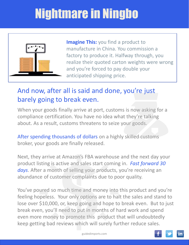# Nightmare in Ningbo



**Imagine This:** you find a product to manufacture in China. You commission a factory to produce it. Halfway through, you realize their quoted carton weights were wrong and you're forced to pay double your anticipated shipping price.

#### And now, after all is said and done, you're just barely going to break even.

When your goods finally arrive at port, customs is now asking for a compliance certification. You have no idea what they're talking about. As a result, customs threatens to seize your goods.

After spending thousands of dollars on a highly skilled customs broker, your goods are finally released.

Next, they arrive at Amazon's FBA warehouse and the next day your product listing is active and sales start coming in. *Fast forward 30 days*. After a month of selling your products, you're receiving an abundance of customer complaints due to poor quality.

You've poured so much time and money into this product and you're feeling hopeless. Your only options are to halt the sales and stand to lose over \$10,000, or, keep going and hope to break even. But to just break even, you'll need to put in months of hard work and spend even more money to promote this product that will undoubtedly keep getting bad reviews which will surely further reduce sales.



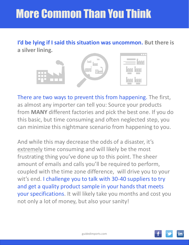## More Common Than You Think

**I'd be lying if I said this situation was uncommon. But there is a silver lining.**



There are two ways to prevent this from happening. The first, as almost any importer can tell you: Source your products from **MANY** different factories and pick the best one. If you do this basic, but time consuming and often neglected step, you can minimize this nightmare scenario from happening to you.

And while this may decrease the odds of a disaster, it's extremely time consuming and will likely be the most frustrating thing you've done up to this point. The sheer amount of emails and calls you'll be required to perform, coupled with the time zone difference, will drive you to your wit's end. I challenge you to talk with 30-40 suppliers to try and get a quality product sample in your hands that meets your specifications. It will likely take you months and cost you not only a lot of money, but also your sanity!

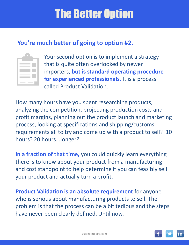### The Better Option

#### **You're much better of going to option #2.**

|        | m. |
|--------|----|
| ______ |    |

[Yo](https://s3.us-east-2.amazonaws.com/guidedimports/productvalidation_0517.pdf)ur second option is to implement a strategy that is quite often overlooked by newer importers, **but is standard operating procedure for experienced professionals**. It is a process called Product Validation.

How many hours have you spent researching products, analyzing the competition, projecting production costs and profit margins, planning out the product launch and marketing process, looking at specifications and shipping/customs requirements all to try and come up with a product to sell? 10 hours? 20 hours...longer?

**In a fraction of that time,** you could quickly learn everything there is to know about your product from a manufacturing and cost standpoint to help determine if you can feasibly sell your product and actually turn a profit.

**Product Validation is an absolute requirement** for anyone who is serious about manufacturing products to sell. The problem is that the process can be a bit tedious and the steps have never been clearly defined. Until now.

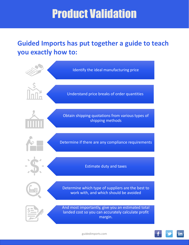### Product Validation

#### **Guided Imports has put together a guide to teach you exactly how to:**



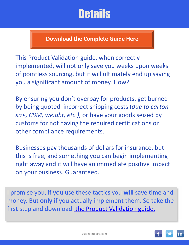### **Details**

**[Download the Complete Guide Here](https://s3.us-east-2.amazonaws.com/guidedimports/productvalidation_0517.pdf)**

This Product Validation guide, when correctly implemented, will not only save you weeks upon weeks of pointless sourcing, but it will ultimately end up saving you a significant amount of money. How?

By ensuring you don't overpay for products, get burned by being quoted incorrect shipping costs (*due to carton size, CBM, weight, etc.),* or have your goods seized by customs for not having the required certifications or other compliance requirements.

Businesses pay thousands of dollars for insurance, but this is free, and something you can begin implementing right away and it will have an immediate positive impact on your business. Guaranteed.

I promise you, if you use these tactics you **will** save time and money. But **only** if you actually implement them. So take the firststep and download [the Product Validation guide.](https://s3.us-east-2.amazonaws.com/guidedimports/productvalidation_0517.pdf)

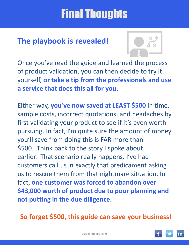### Final Thoughts

#### **The playbook is revealed!**



Once you've read the guide and learned the process of product validation, you can then decide to try it yourself, **or take a tip from the professionals and use a service that does this all for you.**

Either way, **you've now saved at LEAST \$500** in time, sample costs, incorrect quotations, and headaches by first validating your product to see if it's even worth pursuing. In fact, I'm quite sure the amount of money you'll save from doing this is FAR more than \$500. Think back to the story I spoke about earlier. That scenario really happens. I've had customers call us in exactly that predicament asking us to rescue them from that nightmare situation. In fact, **one customer was forced to abandon over \$43,000 worth of product due to poor planning and not putting in the due diligence.** 

**So forget \$500, this guide can save your business!**